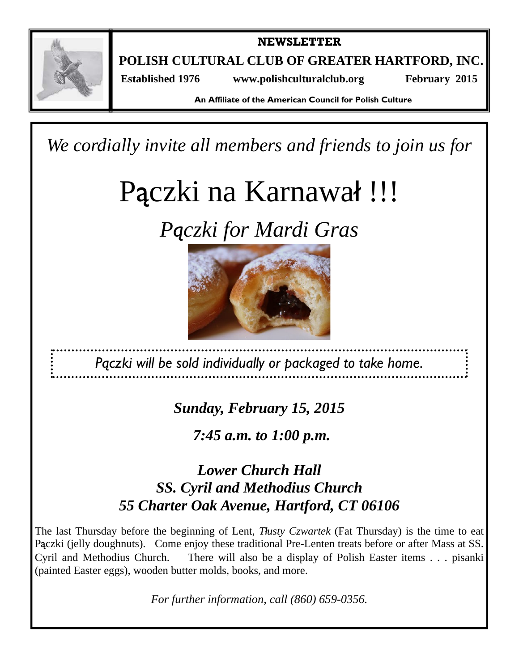

**NEWSLETTER** 

**POLISH CULTURAL CLUB OF GREATER HARTFORD, INC.** 

 **Established 1976 www.polishculturalclub.org February 2015** 

**An Affiliate of the American Council for Polish Culture** 

*We cordially invite all members and friends to join us for* 

# Pączki na Karnawał !!!

*Pączki for Mardi Gras* 



*Pączki will be sold individually or packaged to take home.* 

*Sunday, February 15, 2015* 

*7:45 a.m. to 1:00 p.m.*

# *Lower Church Hall SS. Cyril and Methodius Church 55 Charter Oak Avenue, Hartford, CT 06106*

The last Thursday before the beginning of Lent, *Tłusty Czwartek* (Fat Thursday) is the time to eat Pączki (jelly doughnuts). Come enjoy these traditional Pre-Lenten treats before or after Mass at SS. Cyril and Methodius Church. There will also be a display of Polish Easter items . . . pisanki (painted Easter eggs), wooden butter molds, books, and more.

*For further information, call (860) 659-0356.*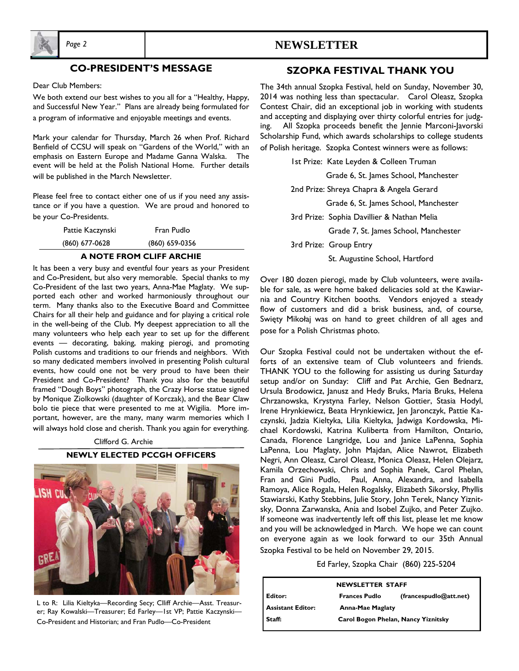

#### **CO-PRESIDENT'S MESSAGE**

Dear Club Members:

We both extend our best wishes to you all for a "Healthy, Happy, and Successful New Year." Plans are already being formulated for a program of informative and enjoyable meetings and events.

Mark your calendar for Thursday, March 26 when Prof. Richard Benfield of CCSU will speak on "Gardens of the World," with an emphasis on Eastern Europe and Madame Ganna Walska. The event will be held at the Polish National Home. Further details will be published in the March Newsletter.

Please feel free to contact either one of us if you need any assistance or if you have a question. We are proud and honored to be your Co-Presidents.

| Pattie Kaczynski | Fran Pudlo     |  |
|------------------|----------------|--|
| $(860)$ 677-0628 | (860) 659-0356 |  |

#### **A NOTE FROM CLIFF ARCHIE**

 Chairs for all their help and guidance and for playing a critical role It has been a very busy and eventful four years as your President and Co-President, but also very memorable. Special thanks to my Co-President of the last two years, Anna-Mae Maglaty. We supported each other and worked harmoniously throughout our term. Many thanks also to the Executive Board and Committee in the well-being of the Club. My deepest appreciation to all the many volunteers who help each year to set up for the different events — decorating, baking, making pierogi, and promoting Polish customs and traditions to our friends and neighbors. With so many dedicated members involved in presenting Polish cultural events, how could one not be very proud to have been their President and Co-President? Thank you also for the beautiful framed "Dough Boys" photograph, the Crazy Horse statue signed by Monique Ziolkowski (daughter of Korczak), and the Bear Claw bolo tie piece that were presented to me at Wigilia. More important, however, are the many, many warm memories which I will always hold close and cherish. Thank you again for everything.

#### Clifford G. Archie

#### **NEWLY ELECTED PCCGH OFFICERS**



L to R: Lilia Kieltyka—Recording Secy; Clliff Archie—Asst. Treasurer; Ray Kowalski—Treasurer; Ed Farley—1st VP; Pattie Kaczynski— Co-President and Historian; and Fran Pudlo—Co-President

#### *Page 2* **NEWSLETTER**

#### **SZOPKA FESTIVAL THANK YOU**

 2014 was nothing less than spectacular. Carol Oleasz, Szopka The 34th annual Szopka Festival, held on Sunday, November 30, Contest Chair, did an exceptional job in working with students and accepting and displaying over thirty colorful entries for judging. All Szopka proceeds benefit the Jennie Marconi-Javorski Scholarship Fund, which awards scholarships to college students

of Polish heritage. Szopka Contest winners were as follows:

1st Prize: Kate Leyden & Colleen Truman Grade 6, St. James School, Manchester 2nd Prize: Shreya Chapra & Angela Gerard Grade 6, St. James School, Manchester 3rd Prize: Sophia Davillier & Nathan Melia Grade 7, St. James School, Manchester 3rd Prize: Group Entry St. Augustine School, Hartford

Over 180 dozen pierogi, made by Club volunteers, were available for sale, as were home baked delicacies sold at the Kawiarnia and Country Kitchen booths. Vendors enjoyed a steady flow of customers and did a brisk business, and, of course, Swięty Mikołaj was on hand to greet children of all ages and pose for a Polish Christmas photo.

Our Szopka Festival could not be undertaken without the efforts of an extensive team of Club volunteers and friends. THANK YOU to the following for assisting us during Saturday setup and/or on Sunday: Cliff and Pat Archie, Gen Bednarz, Ursula Brodowicz, Janusz and Hedy Bruks, Maria Bruks, Helena Chrzanowska, Krystyna Farley, Nelson Gottier, Stasia Hodyl, Irene Hrynkiewicz, Beata Hrynkiewicz, Jen Jaronczyk, Pattie Kaczynski, Jadzia Kieltyka, Lilia Kieltyka, Jadwiga Kordowska, Michael Kordowski, Katrina Kuliberta from Hamilton, Ontario, Canada, Florence Langridge, Lou and Janice LaPenna, Sophia LaPenna, Lou Maglaty, John Majdan, Alice Nawrot, Elizabeth Negri, Ann Oleasz, Carol Oleasz, Monica Oleasz, Helen Olejarz, Kamila Orzechowski, Chris and Sophia Panek, Carol Phelan, Fran and Gini Pudlo, Paul, Anna, Alexandra, and Isabella Ramoya, Alice Rogala, Helen Rogalsky, Elizabeth Sikorsky, Phyllis Stawiarski, Kathy Stebbins, Julie Story, John Terek, Nancy Yiznitsky, Donna Zarwanska, Ania and Isobel Zujko, and Peter Zujko. If someone was inadvertently left off this list, please let me know and you will be acknowledged in March. We hope we can count on everyone again as we look forward to our 35th Annual Szopka Festival to be held on November 29, 2015.

#### Ed Farley, Szopka Chair (860) 225-5204

| <b>NEWSLETTER STAFF</b>  |                                     |                        |  |
|--------------------------|-------------------------------------|------------------------|--|
| Editor:                  | <b>Frances Pudlo</b>                | (francespudlo@att.net) |  |
| <b>Assistant Editor:</b> | <b>Anna-Mae Maglaty</b>             |                        |  |
| Staff:                   | Carol Bogon Phelan, Nancy Yiznitsky |                        |  |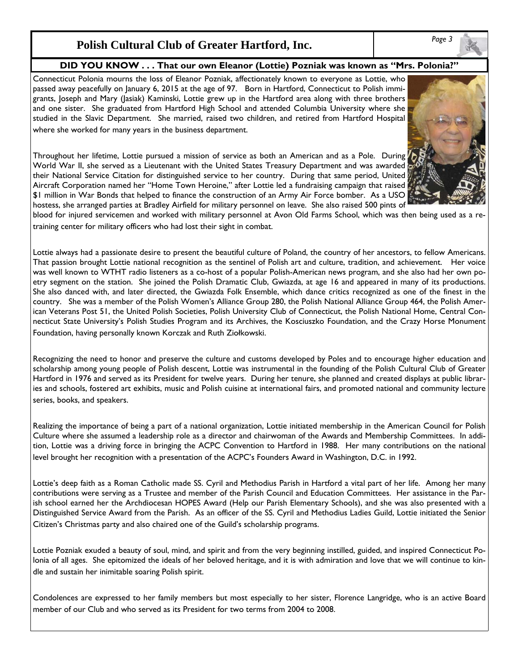## *Page 3* **Polish Cultural Club of Greater Hartford, Inc.**

#### **DID YOU KNOW . . . That our own Eleanor (Lottie) Pozniak was known as "Mrs. Polonia?"**

Connecticut Polonia mourns the loss of Eleanor Pozniak, affectionately known to everyone as Lottie, who passed away peacefully on January 6, 2015 at the age of 97. Born in Hartford, Connecticut to Polish immigrants, Joseph and Mary (Jasiak) Kaminski, Lottie grew up in the Hartford area along with three brothers and one sister. She graduated from Hartford High School and attended Columbia University where she studied in the Slavic Department. She married, raised two children, and retired from Hartford Hospital where she worked for many years in the business department.

Throughout her lifetime, Lottie pursued a mission of service as both an American and as a Pole. During World War II, she served as a Lieutenant with the United States Treasury Department and was awarded their National Service Citation for distinguished service to her country. During that same period, United Aircraft Corporation named her "Home Town Heroine," after Lottie led a fundraising campaign that raised \$1 million in War Bonds that helped to finance the construction of an Army Air Force bomber. As a USO hostess, she arranged parties at Bradley Airfield for military personnel on leave. She also raised 500 pints of



blood for injured servicemen and worked with military personnel at Avon Old Farms School, which was then being used as a retraining center for military officers who had lost their sight in combat.

Lottie always had a passionate desire to present the beautiful culture of Poland, the country of her ancestors, to fellow Americans. That passion brought Lottie national recognition as the sentinel of Polish art and culture, tradition, and achievement. Her voice was well known to WTHT radio listeners as a co-host of a popular Polish-American news program, and she also had her own poetry segment on the station. She joined the Polish Dramatic Club, Gwiazda, at age 16 and appeared in many of its productions. She also danced with, and later directed, the Gwiazda Folk Ensemble, which dance critics recognized as one of the finest in the country. She was a member of the Polish Women's Alliance Group 280, the Polish National Alliance Group 464, the Polish American Veterans Post 51, the United Polish Societies, Polish University Club of Connecticut, the Polish National Home, Central Connecticut State University's Polish Studies Program and its Archives, the Kosciuszko Foundation, and the Crazy Horse Monument Foundation, having personally known Korczak and Ruth Ziołkowski.

Recognizing the need to honor and preserve the culture and customs developed by Poles and to encourage higher education and scholarship among young people of Polish descent, Lottie was instrumental in the founding of the Polish Cultural Club of Greater Hartford in 1976 and served as its President for twelve years. During her tenure, she planned and created displays at public libraries and schools, fostered art exhibits, music and Polish cuisine at international fairs, and promoted national and community lecture series, books, and speakers.

Realizing the importance of being a part of a national organization, Lottie initiated membership in the American Council for Polish Culture where she assumed a leadership role as a director and chairwoman of the Awards and Membership Committees. In addition, Lottie was a driving force in bringing the ACPC Convention to Hartford in 1988. Her many contributions on the national level brought her recognition with a presentation of the ACPC's Founders Award in Washington, D.C. in 1992.

Lottie's deep faith as a Roman Catholic made SS. Cyril and Methodius Parish in Hartford a vital part of her life. Among her many contributions were serving as a Trustee and member of the Parish Council and Education Committees. Her assistance in the Parish school earned her the Archdiocesan HOPES Award (Help our Parish Elementary Schools), and she was also presented with a Distinguished Service Award from the Parish. As an officer of the SS. Cyril and Methodius Ladies Guild, Lottie initiated the Senior Citizen's Christmas party and also chaired one of the Guild's scholarship programs.

Lottie Pozniak exuded a beauty of soul, mind, and spirit and from the very beginning instilled, guided, and inspired Connecticut Polonia of all ages. She epitomized the ideals of her beloved heritage, and it is with admiration and love that we will continue to kindle and sustain her inimitable soaring Polish spirit.

Condolences are expressed to her family members but most especially to her sister, Florence Langridge, who is an active Board member of our Club and who served as its President for two terms from 2004 to 2008.